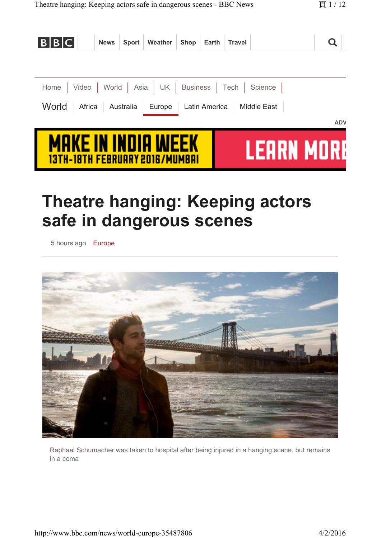| <b>BBC</b>                                                        | <b>News</b>                                                        | Sport | Weather | Shop | Earth | <b>Travel</b> |             |            |
|-------------------------------------------------------------------|--------------------------------------------------------------------|-------|---------|------|-------|---------------|-------------|------------|
|                                                                   |                                                                    |       |         |      |       |               |             |            |
| Home   Video   World   Asia   UK   Business   Tech   Science      |                                                                    |       |         |      |       |               |             |            |
| World<br>Europe   Latin America   Middle East<br>Africa Australia |                                                                    |       |         |      |       |               |             |            |
|                                                                   |                                                                    |       |         |      |       |               |             | <b>ADV</b> |
|                                                                   | <b>MAKE IN INDIA WEEK</b><br><u>13TH-18TH FEBRUARY 2016/MUMBAI</u> |       |         |      |       |               | I FURN MIRK |            |

# **Theatre hanging: Keeping actors safe in dangerous scenes**

5 hours ago | Europe



Raphael Schumacher was taken to hospital after being injured in a hanging scene, but remains in a coma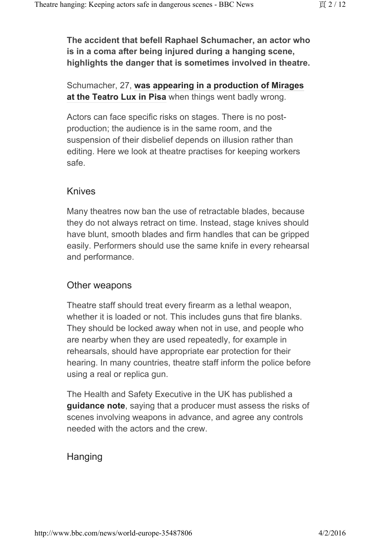**The accident that befell Raphael Schumacher, an actor who is in a coma after being injured during a hanging scene, highlights the danger that is sometimes involved in theatre.** 

#### Schumacher, 27, **was appearing in a production of Mirages at the Teatro Lux in Pisa** when things went badly wrong.

Actors can face specific risks on stages. There is no postproduction; the audience is in the same room, and the suspension of their disbelief depends on illusion rather than editing. Here we look at theatre practises for keeping workers safe.

#### Knives

Many theatres now ban the use of retractable blades, because they do not always retract on time. Instead, stage knives should have blunt, smooth blades and firm handles that can be gripped easily. Performers should use the same knife in every rehearsal and performance.

### Other weapons

Theatre staff should treat every firearm as a lethal weapon, whether it is loaded or not. This includes guns that fire blanks. They should be locked away when not in use, and people who are nearby when they are used repeatedly, for example in rehearsals, should have appropriate ear protection for their hearing. In many countries, theatre staff inform the police before using a real or replica gun.

The Health and Safety Executive in the UK has published a **guidance note**, saying that a producer must assess the risks of scenes involving weapons in advance, and agree any controls needed with the actors and the crew.

### **Hanging**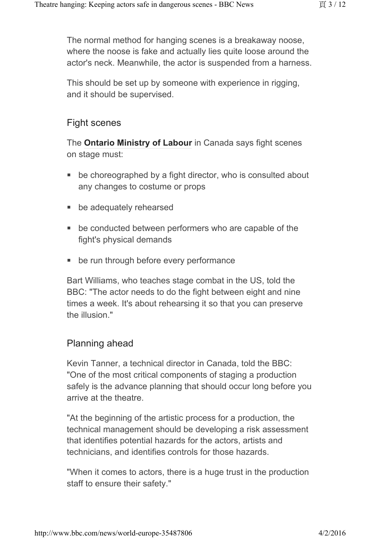The normal method for hanging scenes is a breakaway noose, where the noose is fake and actually lies quite loose around the actor's neck. Meanwhile, the actor is suspended from a harness.

This should be set up by someone with experience in rigging, and it should be supervised.

### Fight scenes

The **Ontario Ministry of Labour** in Canada says fight scenes on stage must:

- be choreographed by a fight director, who is consulted about any changes to costume or props
- be adequately rehearsed
- be conducted between performers who are capable of the fight's physical demands
- be run through before every performance

Bart Williams, who teaches stage combat in the US, told the BBC: "The actor needs to do the fight between eight and nine times a week. It's about rehearsing it so that you can preserve the illusion."

### Planning ahead

Kevin Tanner, a technical director in Canada, told the BBC: "One of the most critical components of staging a production safely is the advance planning that should occur long before you arrive at the theatre.

"At the beginning of the artistic process for a production, the technical management should be developing a risk assessment that identifies potential hazards for the actors, artists and technicians, and identifies controls for those hazards.

"When it comes to actors, there is a huge trust in the production staff to ensure their safety."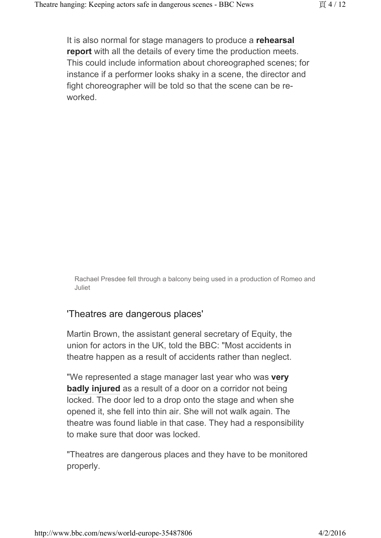It is also normal for stage managers to produce a **rehearsal report** with all the details of every time the production meets. This could include information about choreographed scenes; for instance if a performer looks shaky in a scene, the director and fight choreographer will be told so that the scene can be reworked.

Rachael Presdee fell through a balcony being used in a production of Romeo and Juliet

### 'Theatres are dangerous places'

Martin Brown, the assistant general secretary of Equity, the union for actors in the UK, told the BBC: "Most accidents in theatre happen as a result of accidents rather than neglect.

"We represented a stage manager last year who was **very badly injured** as a result of a door on a corridor not being locked. The door led to a drop onto the stage and when she opened it, she fell into thin air. She will not walk again. The theatre was found liable in that case. They had a responsibility to make sure that door was locked.

"Theatres are dangerous places and they have to be monitored properly.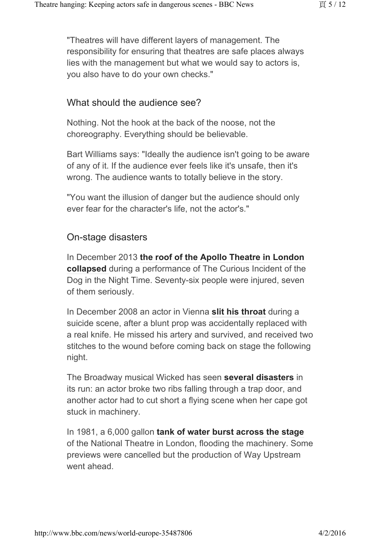"Theatres will have different layers of management. The responsibility for ensuring that theatres are safe places always lies with the management but what we would say to actors is, you also have to do your own checks."

### What should the audience see?

Nothing. Not the hook at the back of the noose, not the choreography. Everything should be believable.

Bart Williams says: "Ideally the audience isn't going to be aware of any of it. If the audience ever feels like it's unsafe, then it's wrong. The audience wants to totally believe in the story.

"You want the illusion of danger but the audience should only ever fear for the character's life, not the actor's."

### On-stage disasters

In December 2013 **the roof of the Apollo Theatre in London collapsed** during a performance of The Curious Incident of the Dog in the Night Time. Seventy-six people were injured, seven of them seriously.

In December 2008 an actor in Vienna **slit his throat** during a suicide scene, after a blunt prop was accidentally replaced with a real knife. He missed his artery and survived, and received two stitches to the wound before coming back on stage the following night.

The Broadway musical Wicked has seen **several disasters** in its run: an actor broke two ribs falling through a trap door, and another actor had to cut short a flying scene when her cape got stuck in machinery.

In 1981, a 6,000 gallon **tank of water burst across the stage** of the National Theatre in London, flooding the machinery. Some previews were cancelled but the production of Way Upstream went ahead.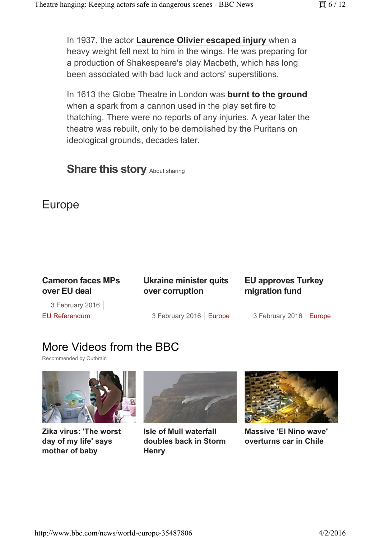In 1937, the actor **Laurence Olivier escaped injury** when a heavy weight fell next to him in the wings. He was preparing for a production of Shakespeare's play Macbeth, which has long been associated with bad luck and actors' superstitions.

In 1613 the Globe Theatre in London was **burnt to the ground** when a spark from a cannon used in the play set fire to thatching. There were no reports of any injuries. A year later the theatre was rebuilt, only to be demolished by the Puritans on ideological grounds, decades later.

### **Share this story About sharing**

# Europe

| <b>Cameron faces MPs</b><br>over EU deal | Ukraine minister quits<br>over corruption | <b>EU approves Turkey</b><br>migration fund |  |  |
|------------------------------------------|-------------------------------------------|---------------------------------------------|--|--|
| 3 February 2016                          |                                           |                                             |  |  |
| <b>EU Referendum</b>                     | 3 February 2016   Europe                  | 3 February 2016   Europe                    |  |  |

# More Videos from the BBC

Recommended by Outbrain



**Zika virus: 'The worst day of my life' says mother of baby**



**Isle of Mull waterfall doubles back in Storm Henry**



**Massive 'El Nino wave' overturns car in Chile**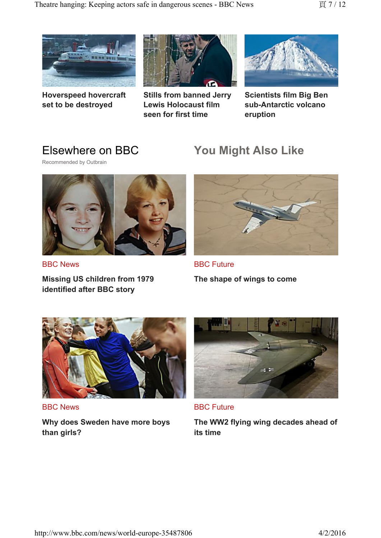

**Hoverspeed hovercraft set to be destroyed**



**Stills from banned Jerry Lewis Holocaust film seen for first time**



**Scientists film Big Ben sub-Antarctic volcano eruption**

# Elsewhere on BBC

Recommended by Outbrain



BBC News

**Missing US children from 1979 identified after BBC story**

# **You Might Also Like**



BBC Future **The shape of wings to come**



BBC News

**Why does Sweden have more boys than girls?**



BBC Future

**The WW2 flying wing decades ahead of its time**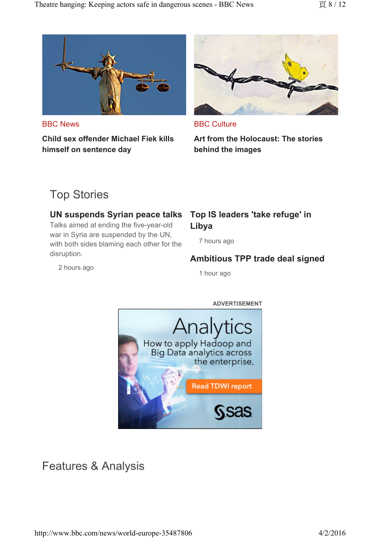

BBC News

**Child sex offender Michael Fiek kills himself on sentence day**



BBC Culture

**Art from the Holocaust: The stories behind the images**

# Top Stories

#### **UN suspends Syrian peace talks**

Talks aimed at ending the five-year-old war in Syria are suspended by the UN, with both sides blaming each other for the disruption.

### **Top IS leaders 'take refuge' in Libya**

7 hours ago

### **Ambitious TPP trade deal signed**

1 hour ago





Features & Analysis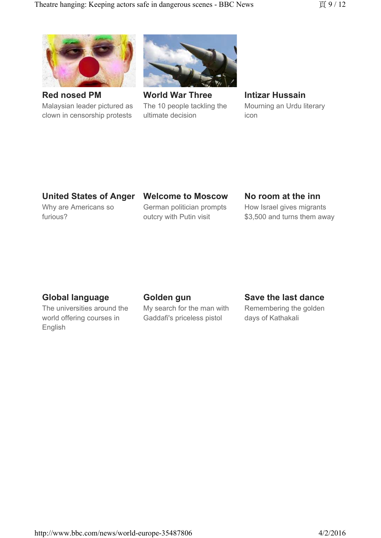

**Red nosed PM** Malaysian leader pictured as clown in censorship protests



**World War Three** The 10 people tackling the ultimate decision

**Intizar Hussain** Mourning an Urdu literary icon

### **United States of Anger**

Why are Americans so furious?

#### **Welcome to Moscow**

German politician prompts outcry with Putin visit

#### **No room at the inn**

How Israel gives migrants \$3,500 and turns them away

### **Global language**

The universities around the world offering courses in English

#### **Golden gun**

My search for the man with Gaddafi's priceless pistol

#### **Save the last dance**

Remembering the golden days of Kathakali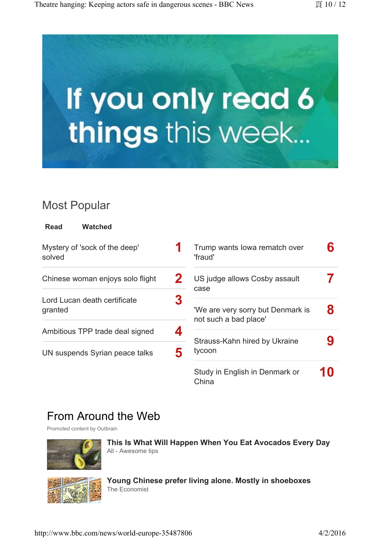

# Most Popular

**Read Watched**

| Mystery of 'sock of the deep'<br>solved |   | Trump wants lowa rematch over<br>'fraud'                   |  |
|-----------------------------------------|---|------------------------------------------------------------|--|
| Chinese woman enjoys solo flight        |   | US judge allows Cosby assault<br>case                      |  |
| Lord Lucan death certificate<br>granted | 3 | 'We are very sorry but Denmark is<br>not such a bad place' |  |
| Ambitious TPP trade deal signed         |   | Strauss-Kahn hired by Ukraine<br>tycoon                    |  |
| UN suspends Syrian peace talks          | 5 | Study in English in Denmark or                             |  |

# From Around the Web

Promoted content by Outbrain



**This Is What Will Happen When You Eat Avocados Every Day** All - Awesome tips

China



**Young Chinese prefer living alone. Mostly in shoeboxes** The Economist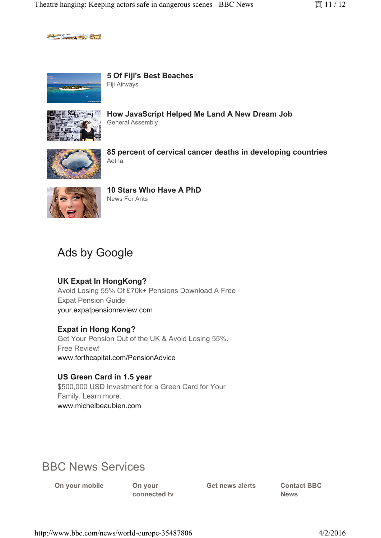$-200$   $-200$   $-200$ 



**5 Of Fiji's Best Beaches** Fiji Airways



**How JavaScript Helped Me Land A New Dream Job** General Assembly



**85 percent of cervical cancer deaths in developing countries** Aetna



**10 Stars Who Have A PhD** News For Ants

# Ads by Google

#### **UK Expat In HongKong?**

Avoid Losing 55% Of £70k+ Pensions Download A Free Expat Pension Guide your.expatpensionreview.com

#### **Expat in Hong Kong?**

Get Your Pension Out of the UK & Avoid Losing 55%. Free Review! www.forthcapital.com/PensionAdvice

#### **US Green Card in 1.5 year**

\$500,000 USD Investment for a Green Card for Your Family. Learn more. www.michelbeaubien.com

# BBC News Services

**On your mobile On your** 

**connected tv**

**Get news alerts Contact BBC** 

**News**